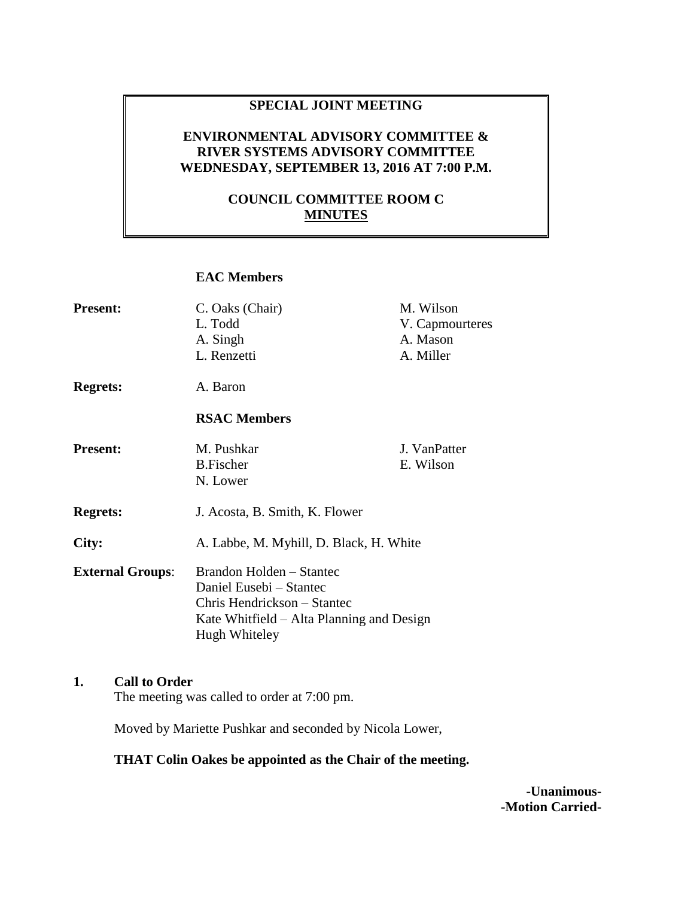### **SPECIAL JOINT MEETING**

### **ENVIRONMENTAL ADVISORY COMMITTEE & RIVER SYSTEMS ADVISORY COMMITTEE WEDNESDAY, SEPTEMBER 13, 2016 AT 7:00 P.M.**

### **COUNCIL COMMITTEE ROOM C MINUTES**

### **EAC Members**

| <b>Present:</b>         | C. Oaks (Chair)<br>L. Todd<br>A. Singh                                                                                                           | M. Wilson<br>V. Capmourteres<br>A. Mason |
|-------------------------|--------------------------------------------------------------------------------------------------------------------------------------------------|------------------------------------------|
|                         | L. Renzetti                                                                                                                                      | A. Miller                                |
| <b>Regrets:</b>         | A. Baron                                                                                                                                         |                                          |
|                         | <b>RSAC Members</b>                                                                                                                              |                                          |
| <b>Present:</b>         | M. Pushkar<br><b>B.Fischer</b><br>N. Lower                                                                                                       | J. VanPatter<br>E. Wilson                |
| <b>Regrets:</b>         | J. Acosta, B. Smith, K. Flower                                                                                                                   |                                          |
| City:                   | A. Labbe, M. Myhill, D. Black, H. White                                                                                                          |                                          |
| <b>External Groups:</b> | Brandon Holden – Stantec<br>Daniel Eusebi - Stantec<br>Chris Hendrickson – Stantec<br>Kate Whitfield – Alta Planning and Design<br>Hugh Whiteley |                                          |

# **1. Call to Order**

The meeting was called to order at 7:00 pm.

Moved by Mariette Pushkar and seconded by Nicola Lower,

#### **THAT Colin Oakes be appointed as the Chair of the meeting.**

**-Unanimous- -Motion Carried-**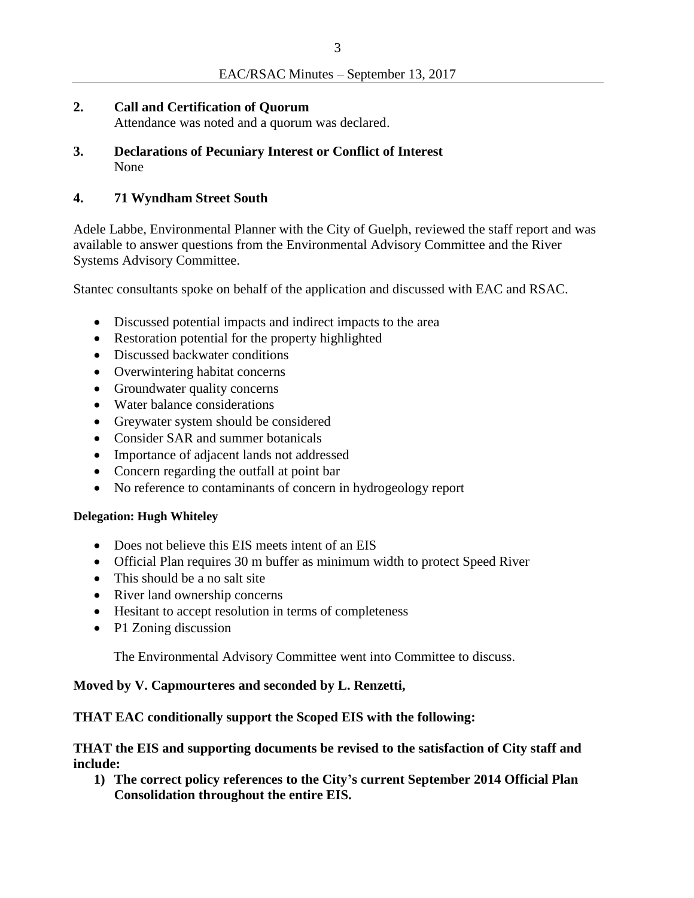**2. Call and Certification of Quorum**

Attendance was noted and a quorum was declared.

**3. Declarations of Pecuniary Interest or Conflict of Interest** None

# **4. 71 Wyndham Street South**

Adele Labbe, Environmental Planner with the City of Guelph, reviewed the staff report and was available to answer questions from the Environmental Advisory Committee and the River Systems Advisory Committee.

Stantec consultants spoke on behalf of the application and discussed with EAC and RSAC.

- Discussed potential impacts and indirect impacts to the area
- Restoration potential for the property highlighted
- Discussed backwater conditions
- Overwintering habitat concerns
- Groundwater quality concerns
- Water balance considerations
- Greywater system should be considered
- Consider SAR and summer botanicals
- Importance of adjacent lands not addressed
- Concern regarding the outfall at point bar
- No reference to contaminants of concern in hydrogeology report

### **Delegation: Hugh Whiteley**

- Does not believe this EIS meets intent of an EIS
- Official Plan requires 30 m buffer as minimum width to protect Speed River
- This should be a no salt site
- River land ownership concerns
- Hesitant to accept resolution in terms of completeness
- P1 Zoning discussion

The Environmental Advisory Committee went into Committee to discuss.

### **Moved by V. Capmourteres and seconded by L. Renzetti,**

### **THAT EAC conditionally support the Scoped EIS with the following:**

**THAT the EIS and supporting documents be revised to the satisfaction of City staff and include:**

**1) The correct policy references to the City's current September 2014 Official Plan Consolidation throughout the entire EIS.**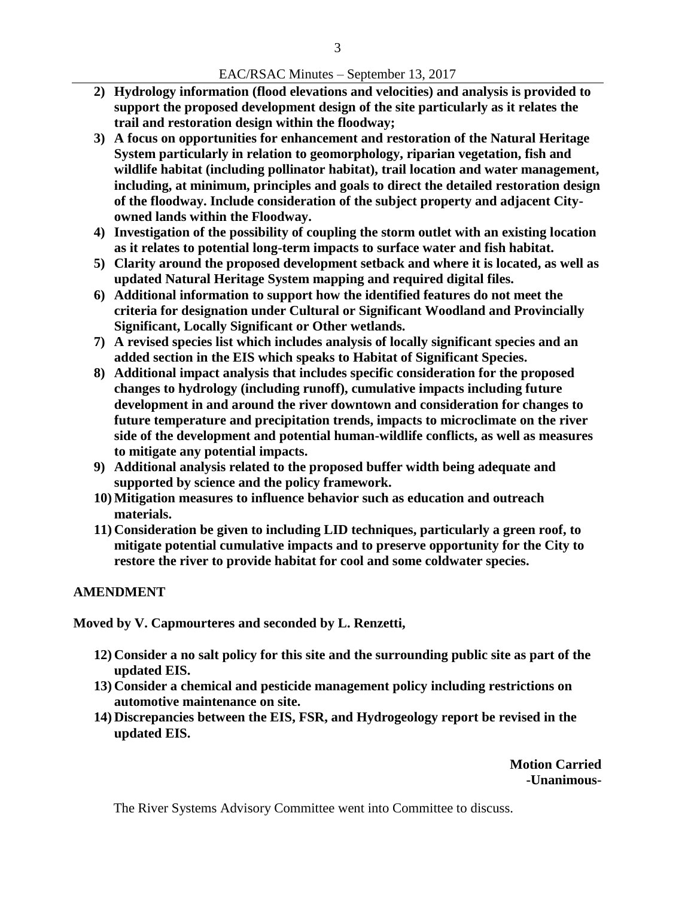#### EAC/RSAC Minutes – September 13, 2017

- **2) Hydrology information (flood elevations and velocities) and analysis is provided to support the proposed development design of the site particularly as it relates the trail and restoration design within the floodway;**
- **3) A focus on opportunities for enhancement and restoration of the Natural Heritage System particularly in relation to geomorphology, riparian vegetation, fish and wildlife habitat (including pollinator habitat), trail location and water management, including, at minimum, principles and goals to direct the detailed restoration design of the floodway. Include consideration of the subject property and adjacent Cityowned lands within the Floodway.**
- **4) Investigation of the possibility of coupling the storm outlet with an existing location as it relates to potential long-term impacts to surface water and fish habitat.**
- **5) Clarity around the proposed development setback and where it is located, as well as updated Natural Heritage System mapping and required digital files.**
- **6) Additional information to support how the identified features do not meet the criteria for designation under Cultural or Significant Woodland and Provincially Significant, Locally Significant or Other wetlands.**
- **7) A revised species list which includes analysis of locally significant species and an added section in the EIS which speaks to Habitat of Significant Species.**
- **8) Additional impact analysis that includes specific consideration for the proposed changes to hydrology (including runoff), cumulative impacts including future development in and around the river downtown and consideration for changes to future temperature and precipitation trends, impacts to microclimate on the river side of the development and potential human-wildlife conflicts, as well as measures to mitigate any potential impacts.**
- **9) Additional analysis related to the proposed buffer width being adequate and supported by science and the policy framework.**
- **10) Mitigation measures to influence behavior such as education and outreach materials.**
- **11) Consideration be given to including LID techniques, particularly a green roof, to mitigate potential cumulative impacts and to preserve opportunity for the City to restore the river to provide habitat for cool and some coldwater species.**

#### **AMENDMENT**

**Moved by V. Capmourteres and seconded by L. Renzetti,**

- **12) Consider a no salt policy for this site and the surrounding public site as part of the updated EIS.**
- **13) Consider a chemical and pesticide management policy including restrictions on automotive maintenance on site.**
- **14) Discrepancies between the EIS, FSR, and Hydrogeology report be revised in the updated EIS.**

**Motion Carried -Unanimous-**

The River Systems Advisory Committee went into Committee to discuss.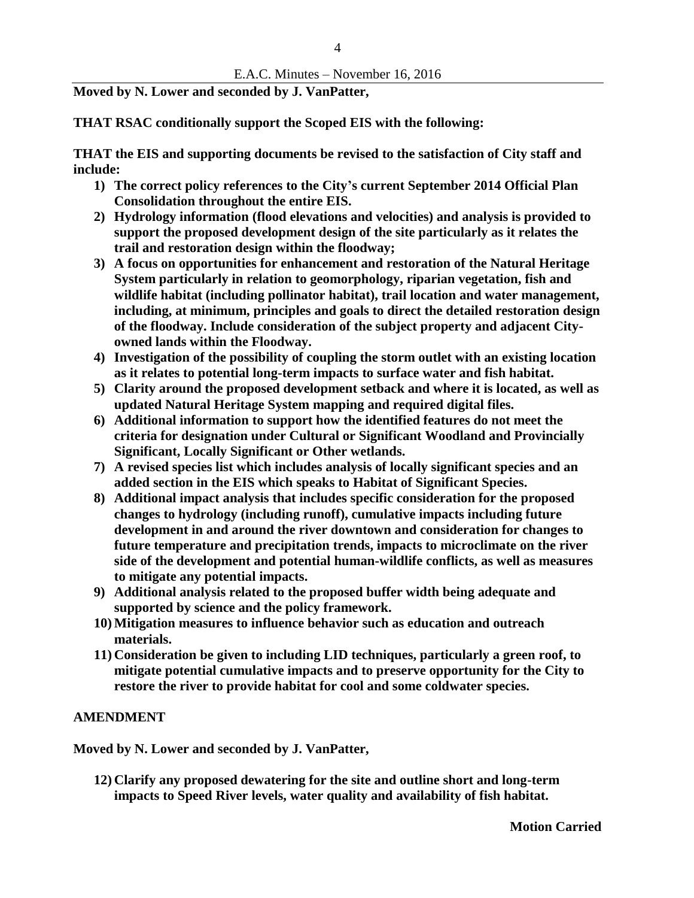**Moved by N. Lower and seconded by J. VanPatter,**

**THAT RSAC conditionally support the Scoped EIS with the following:** 

**THAT the EIS and supporting documents be revised to the satisfaction of City staff and include:**

- **1) The correct policy references to the City's current September 2014 Official Plan Consolidation throughout the entire EIS.**
- **2) Hydrology information (flood elevations and velocities) and analysis is provided to support the proposed development design of the site particularly as it relates the trail and restoration design within the floodway;**
- **3) A focus on opportunities for enhancement and restoration of the Natural Heritage System particularly in relation to geomorphology, riparian vegetation, fish and wildlife habitat (including pollinator habitat), trail location and water management, including, at minimum, principles and goals to direct the detailed restoration design of the floodway. Include consideration of the subject property and adjacent Cityowned lands within the Floodway.**
- **4) Investigation of the possibility of coupling the storm outlet with an existing location as it relates to potential long-term impacts to surface water and fish habitat.**
- **5) Clarity around the proposed development setback and where it is located, as well as updated Natural Heritage System mapping and required digital files.**
- **6) Additional information to support how the identified features do not meet the criteria for designation under Cultural or Significant Woodland and Provincially Significant, Locally Significant or Other wetlands.**
- **7) A revised species list which includes analysis of locally significant species and an added section in the EIS which speaks to Habitat of Significant Species.**
- **8) Additional impact analysis that includes specific consideration for the proposed changes to hydrology (including runoff), cumulative impacts including future development in and around the river downtown and consideration for changes to future temperature and precipitation trends, impacts to microclimate on the river side of the development and potential human-wildlife conflicts, as well as measures to mitigate any potential impacts.**
- **9) Additional analysis related to the proposed buffer width being adequate and supported by science and the policy framework.**
- **10) Mitigation measures to influence behavior such as education and outreach materials.**
- **11) Consideration be given to including LID techniques, particularly a green roof, to mitigate potential cumulative impacts and to preserve opportunity for the City to restore the river to provide habitat for cool and some coldwater species.**

### **AMENDMENT**

**Moved by N. Lower and seconded by J. VanPatter,**

**12) Clarify any proposed dewatering for the site and outline short and long-term impacts to Speed River levels, water quality and availability of fish habitat.**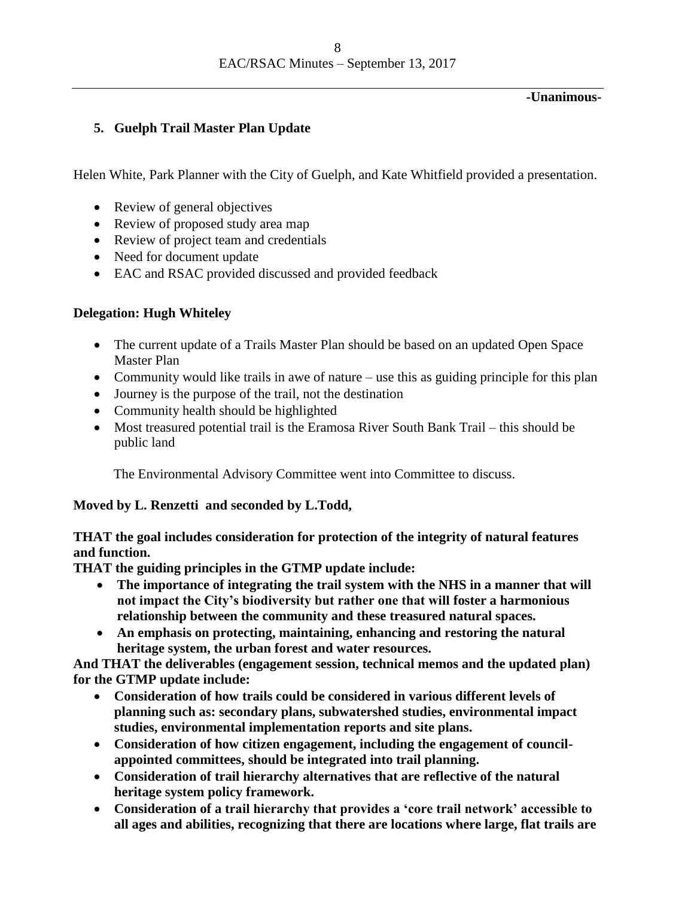#### **-Unanimous-**

# **5. Guelph Trail Master Plan Update**

Helen White, Park Planner with the City of Guelph, and Kate Whitfield provided a presentation.

- Review of general objectives
- Review of proposed study area map
- Review of project team and credentials
- Need for document update
- EAC and RSAC provided discussed and provided feedback

# **Delegation: Hugh Whiteley**

- The current update of a Trails Master Plan should be based on an updated Open Space Master Plan
- Community would like trails in awe of nature use this as guiding principle for this plan
- Journey is the purpose of the trail, not the destination
- Community health should be highlighted
- Most treasured potential trail is the Eramosa River South Bank Trail this should be public land

The Environmental Advisory Committee went into Committee to discuss.

# **Moved by L. Renzetti and seconded by L.Todd,**

# **THAT the goal includes consideration for protection of the integrity of natural features and function.**

**THAT the guiding principles in the GTMP update include:**

- **The importance of integrating the trail system with the NHS in a manner that will not impact the City's biodiversity but rather one that will foster a harmonious relationship between the community and these treasured natural spaces.**
- **An emphasis on protecting, maintaining, enhancing and restoring the natural heritage system, the urban forest and water resources.**

**And THAT the deliverables (engagement session, technical memos and the updated plan) for the GTMP update include:**

- **Consideration of how trails could be considered in various different levels of planning such as: secondary plans, subwatershed studies, environmental impact studies, environmental implementation reports and site plans.**
- **Consideration of how citizen engagement, including the engagement of councilappointed committees, should be integrated into trail planning.**
- **Consideration of trail hierarchy alternatives that are reflective of the natural heritage system policy framework.**
- **Consideration of a trail hierarchy that provides a 'core trail network' accessible to all ages and abilities, recognizing that there are locations where large, flat trails are**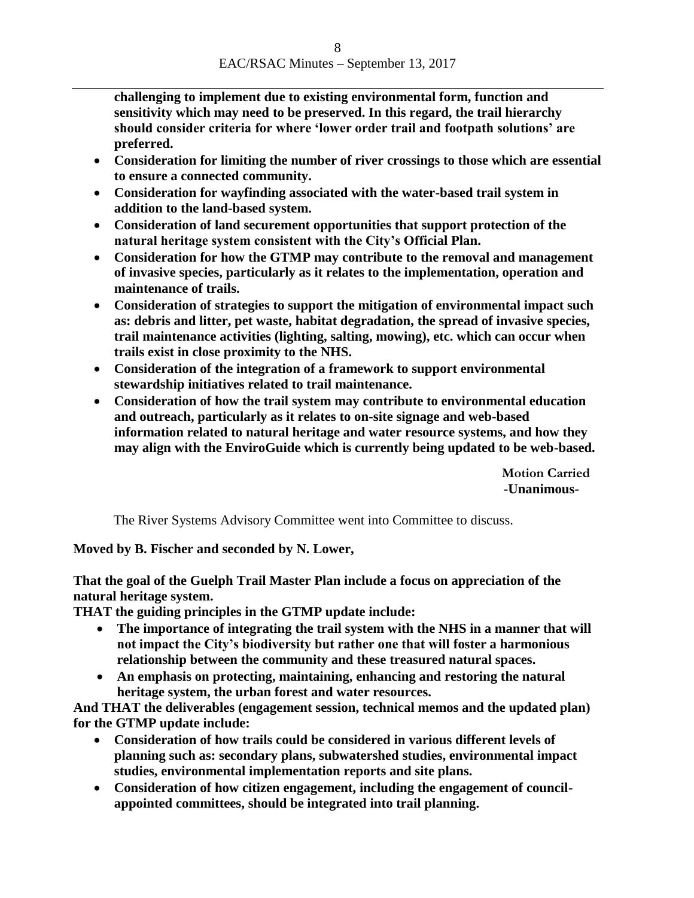**challenging to implement due to existing environmental form, function and sensitivity which may need to be preserved. In this regard, the trail hierarchy should consider criteria for where 'lower order trail and footpath solutions' are preferred.** 

- **Consideration for limiting the number of river crossings to those which are essential to ensure a connected community.**
- **Consideration for wayfinding associated with the water-based trail system in addition to the land-based system.**
- **Consideration of land securement opportunities that support protection of the natural heritage system consistent with the City's Official Plan.**
- **Consideration for how the GTMP may contribute to the removal and management of invasive species, particularly as it relates to the implementation, operation and maintenance of trails.**
- **Consideration of strategies to support the mitigation of environmental impact such as: debris and litter, pet waste, habitat degradation, the spread of invasive species, trail maintenance activities (lighting, salting, mowing), etc. which can occur when trails exist in close proximity to the NHS.**
- **Consideration of the integration of a framework to support environmental stewardship initiatives related to trail maintenance.**
- **Consideration of how the trail system may contribute to environmental education and outreach, particularly as it relates to on-site signage and web-based information related to natural heritage and water resource systems, and how they may align with the EnviroGuide which is currently being updated to be web-based.**

**Motion Carried -Unanimous-**

The River Systems Advisory Committee went into Committee to discuss.

**Moved by B. Fischer and seconded by N. Lower,**

**That the goal of the Guelph Trail Master Plan include a focus on appreciation of the natural heritage system.**

**THAT the guiding principles in the GTMP update include:**

- **The importance of integrating the trail system with the NHS in a manner that will not impact the City's biodiversity but rather one that will foster a harmonious relationship between the community and these treasured natural spaces.**
- **An emphasis on protecting, maintaining, enhancing and restoring the natural heritage system, the urban forest and water resources.**

**And THAT the deliverables (engagement session, technical memos and the updated plan) for the GTMP update include:**

- **Consideration of how trails could be considered in various different levels of planning such as: secondary plans, subwatershed studies, environmental impact studies, environmental implementation reports and site plans.**
- **Consideration of how citizen engagement, including the engagement of councilappointed committees, should be integrated into trail planning.**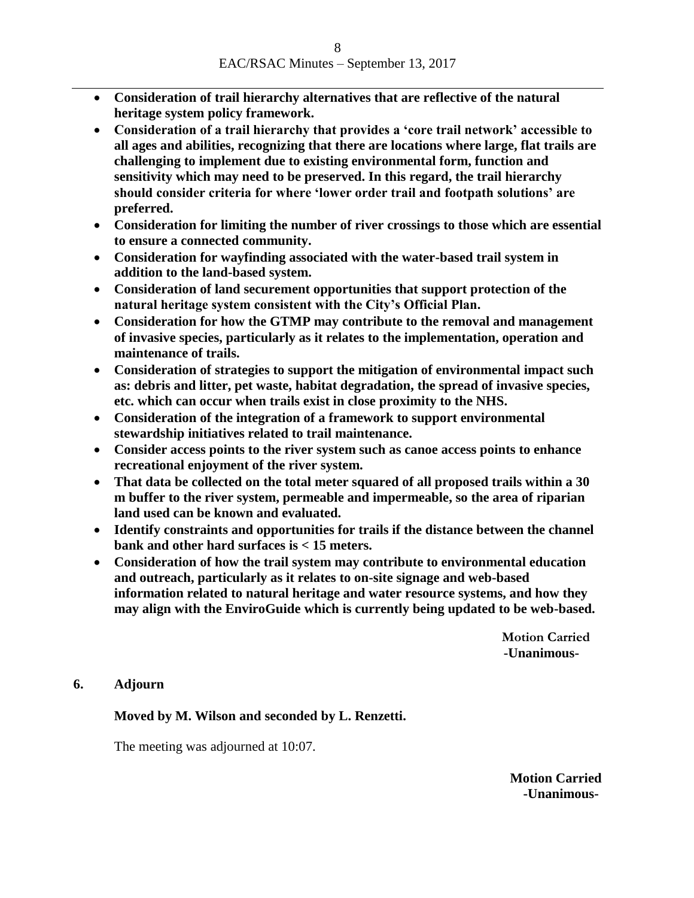- **Consideration of trail hierarchy alternatives that are reflective of the natural heritage system policy framework.**
- **Consideration of a trail hierarchy that provides a 'core trail network' accessible to all ages and abilities, recognizing that there are locations where large, flat trails are challenging to implement due to existing environmental form, function and sensitivity which may need to be preserved. In this regard, the trail hierarchy should consider criteria for where 'lower order trail and footpath solutions' are preferred.**
- **Consideration for limiting the number of river crossings to those which are essential to ensure a connected community.**
- **Consideration for wayfinding associated with the water-based trail system in addition to the land-based system.**
- **Consideration of land securement opportunities that support protection of the natural heritage system consistent with the City's Official Plan.**
- **Consideration for how the GTMP may contribute to the removal and management of invasive species, particularly as it relates to the implementation, operation and maintenance of trails.**
- **Consideration of strategies to support the mitigation of environmental impact such as: debris and litter, pet waste, habitat degradation, the spread of invasive species, etc. which can occur when trails exist in close proximity to the NHS.**
- **Consideration of the integration of a framework to support environmental stewardship initiatives related to trail maintenance.**
- **Consider access points to the river system such as canoe access points to enhance recreational enjoyment of the river system.**
- **That data be collected on the total meter squared of all proposed trails within a 30 m buffer to the river system, permeable and impermeable, so the area of riparian land used can be known and evaluated.**
- **Identify constraints and opportunities for trails if the distance between the channel bank and other hard surfaces is < 15 meters.**
- **Consideration of how the trail system may contribute to environmental education and outreach, particularly as it relates to on-site signage and web-based information related to natural heritage and water resource systems, and how they may align with the EnviroGuide which is currently being updated to be web-based.**

**Motion Carried -Unanimous-**

**6. Adjourn** 

**Moved by M. Wilson and seconded by L. Renzetti.**

The meeting was adjourned at 10:07.

**Motion Carried -Unanimous-**